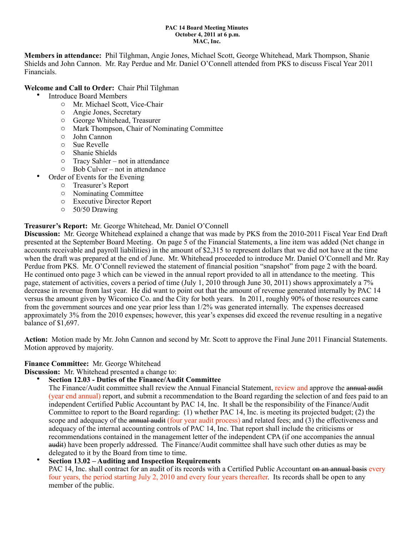#### **PAC 14 Board Meeting Minutes October 4, 2011 at 6 p.m. MAC, Inc.**

**Members in attendance:** Phil Tilghman, Angie Jones, Michael Scott, George Whitehead, Mark Thompson, Shanie Shields and John Cannon. Mr. Ray Perdue and Mr. Daniel O'Connell attended from PKS to discuss Fiscal Year 2011 Financials.

#### **Welcome and Call to Order:** Chair Phil Tilghman

- Introduce Board Members
	- o Mr. Michael Scott, Vice-Chair
	- o Angie Jones, Secretary
	- o George Whitehead, Treasurer
	- o Mark Thompson, Chair of Nominating Committee
	- o John Cannon
	- o Sue Revelle
	- o Shanie Shields
	- o Tracy Sahler not in attendance
	- o Bob Culver not in attendance
	- Order of Events for the Evening
		- o Treasurer's Report
		- o Nominating Committee
		- o Executive Director Report
		- o 50/50 Drawing

#### **Treasurer's Report:** Mr. George Whitehead, Mr. Daniel O'Connell

**Discussion:** Mr. George Whitehead explained a change that was made by PKS from the 2010-2011 Fiscal Year End Draft presented at the September Board Meeting. On page 5 of the Financial Statements, a line item was added (Net change in accounts receivable and payroll liabilities) in the amount of \$2,315 to represent dollars that we did not have at the time when the draft was prepared at the end of June. Mr. Whitehead proceeded to introduce Mr. Daniel O'Connell and Mr. Ray Perdue from PKS. Mr. O'Connell reviewed the statement of financial position "snapshot" from page 2 with the board. He continued onto page 3 which can be viewed in the annual report provided to all in attendance to the meeting. This page, statement of activities, covers a period of time (July 1, 2010 through June 30, 2011) shows approximately a 7% decrease in revenue from last year. He did want to point out that the amount of revenue generated internally by PAC 14 versus the amount given by Wicomico Co. and the City for both years. In 2011, roughly 90% of those resources came from the government sources and one year prior less than 1/2% was generated internally. The expenses decreased approximately 3% from the 2010 expenses; however, this year's expenses did exceed the revenue resulting in a negative balance of \$1,697.

**Action:** Motion made by Mr. John Cannon and second by Mr. Scott to approve the Final June 2011 Financial Statements. Motion approved by majority.

#### **Finance Committee:** Mr. George Whitehead

**Discussion:** Mr. Whitehead presented a change to:

• **Section 12.03 - Duties of the Finance/Audit Committee**

The Finance/Audit committee shall review the Annual Financial Statement, review and approve the annual audit (year end annual) report, and submit a recommendation to the Board regarding the selection of and fees paid to an independent Certified Public Accountant by PAC 14, Inc. It shall be the responsibility of the Finance/Audit Committee to report to the Board regarding: (1) whether PAC 14, Inc. is meeting its projected budget; (2) the scope and adequacy of the annual audit (four year audit process) and related fees; and (3) the effectiveness and adequacy of the internal accounting controls of PAC 14, Inc. That report shall include the criticisms or recommendations contained in the management letter of the independent CPA (if one accompanies the annual audit) have been properly addressed. The Finance/Audit committee shall have such other duties as may be delegated to it by the Board from time to time.

# • **Section 13.02 – Auditing and Inspection Requirements**

PAC 14, Inc. shall contract for an audit of its records with a Certified Public Accountant on an annual basis every four years, the period starting July 2, 2010 and every four years thereafter. Its records shall be open to any member of the public.